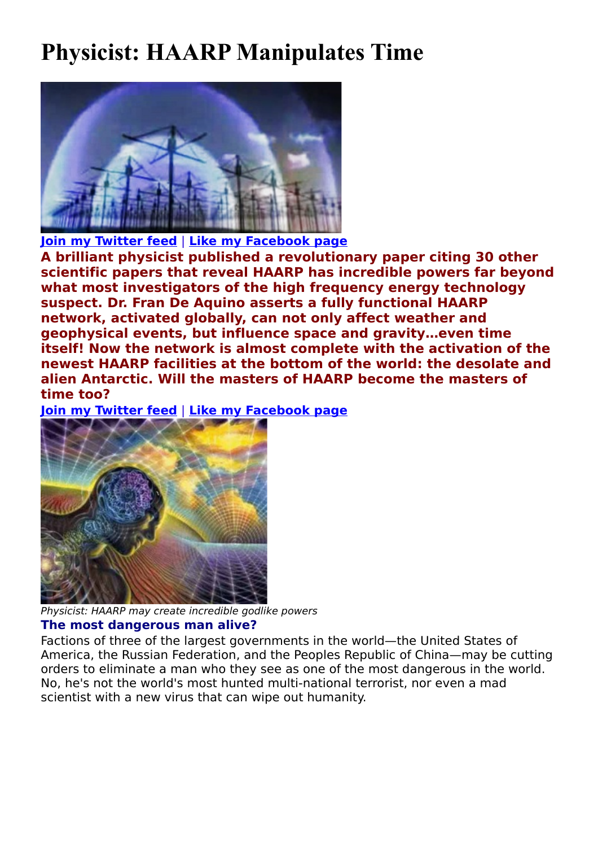# **Physicist: HAARP Manipulates Time**



**[Join my Twitter feed](http://twitter.com/TerrenceAym)** | **[Like my Facebook page](http://www.facebook.com/pages/Terrence-Aym-Write-On/120051704708432?ref=sgm)**

**A brilliant physicist published a revolutionary paper citing 30 other scientific papers that reveal HAARP has incredible powers far beyond what most investigators of the high frequency energy technology suspect. Dr. Fran De Aquino asserts a fully functional HAARP network, activated globally, can not only affect weather and geophysical events, but influence space and gravity…even time itself! Now the network is almost complete with the activation of the newest HAARP facilities at the bottom of the world: the desolate and alien Antarctic. Will the masters of HAARP become the masters of time too?**

**[Join my Twitter feed](http://twitter.com/TerrenceAym)** | **[Like my Facebook page](http://www.facebook.com/pages/Terrence-Aym-Write-On/120051704708432?ref=sgm)**



Physicist: HAARP may create incredible godlike powers

#### **The most dangerous man alive?**

Factions of three of the largest governments in the world—the United States of America, the Russian Federation, and the Peoples Republic of China—may be cutting orders to eliminate a man who they see as one of the most dangerous in the world. No, he's not the world's most hunted multi-national terrorist, nor even a mad scientist with a new virus that can wipe out humanity.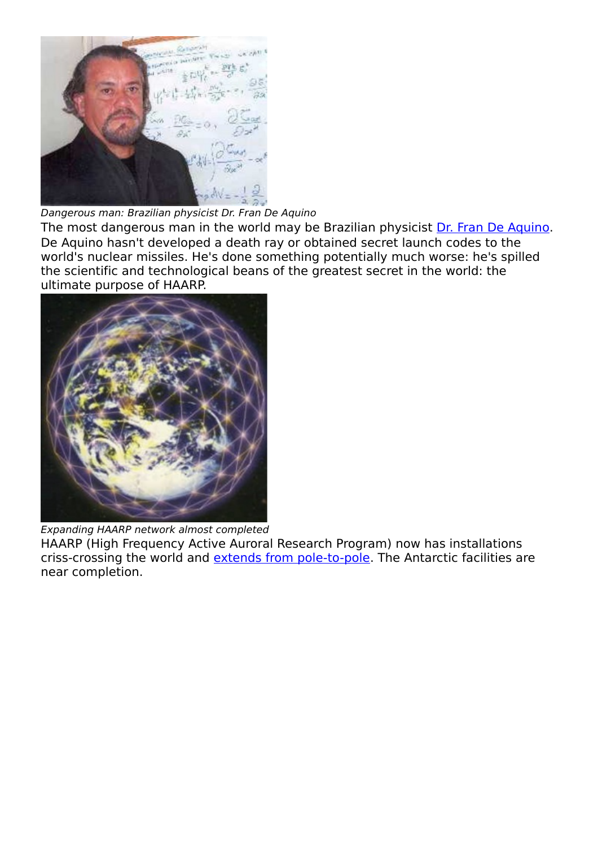

Dangerous man: Brazilian physicist Dr. Fran De Aquino

The most dangerous man in the world may be Brazilian physicist [Dr. Fran De Aquino.](http://maurin2012.blogspot.com/2011_05_01_archive.html) De Aquino hasn't developed a death ray or obtained secret launch codes to the world's nuclear missiles. He's done something potentially much worse: he's spilled the scientific and technological beans of the greatest secret in the world: the ultimate purpose of HAARP.



Expanding HAARP network almost completed

HAARP (High Frequency Active Auroral Research Program) now has installations criss-crossing the world and [extends from pole-to-pole.](http://beforeitsnews.com/story/2128/255/Death_Chain:_Antarctic_HAARP_Activation.html) The Antarctic facilities are near completion.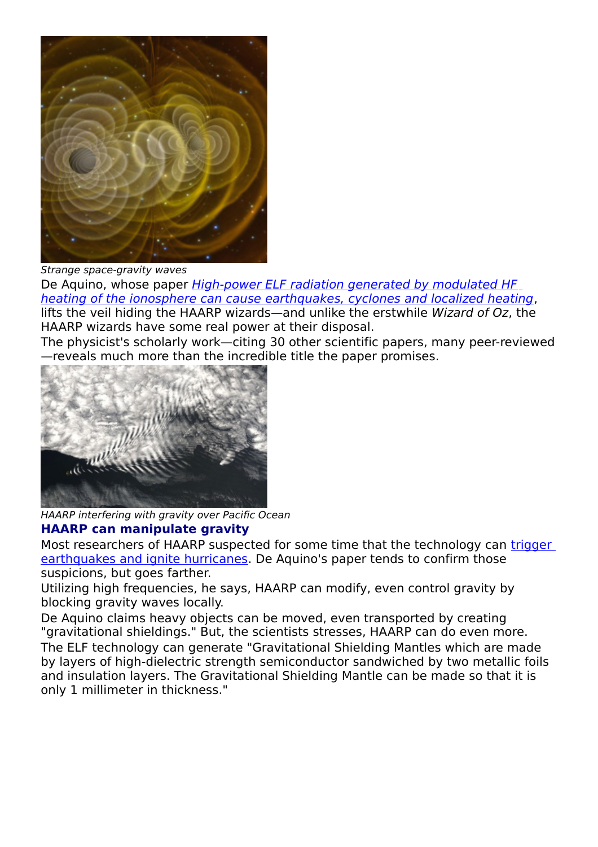

Strange space-gravity waves

De Aquino, whose paper *[High-power ELF radiation generated by modulated HF](http://vixra.org/pdf/1202.0044v1.pdf)* [heating of the ionosphere can cause earthquakes, cyclones and localized heating](http://vixra.org/pdf/1202.0044v1.pdf), lifts the veil hiding the HAARP wizards—and unlike the erstwhile Wizard of Oz, the HAARP wizards have some real power at their disposal.

The physicist's scholarly work—citing 30 other scientific papers, many peer-reviewed —reveals much more than the incredible title the paper promises.



HAARP interfering with gravity over Pacific Ocean **HAARP can manipulate gravity**

Most researchers of HAARP suspected for some time that the technology can [trigger](http://beforeitsnews.com/story/2098/680/Masters_Of_The_World:_HAARP_Wars.html) [earthquakes and ignite hurricanes.](http://beforeitsnews.com/story/2098/680/Masters_Of_The_World:_HAARP_Wars.html) De Aquino's paper tends to confirm those suspicions, but goes farther.

Utilizing high frequencies, he says, HAARP can modify, even control gravity by blocking gravity waves locally.

De Aquino claims heavy objects can be moved, even transported by creating "gravitational shieldings." But, the scientists stresses, HAARP can do even more. The ELF technology can generate "Gravitational Shielding Mantles which are made by layers of high-dielectric strength semiconductor sandwiched by two metallic foils and insulation layers. The Gravitational Shielding Mantle can be made so that it is only 1 millimeter in thickness."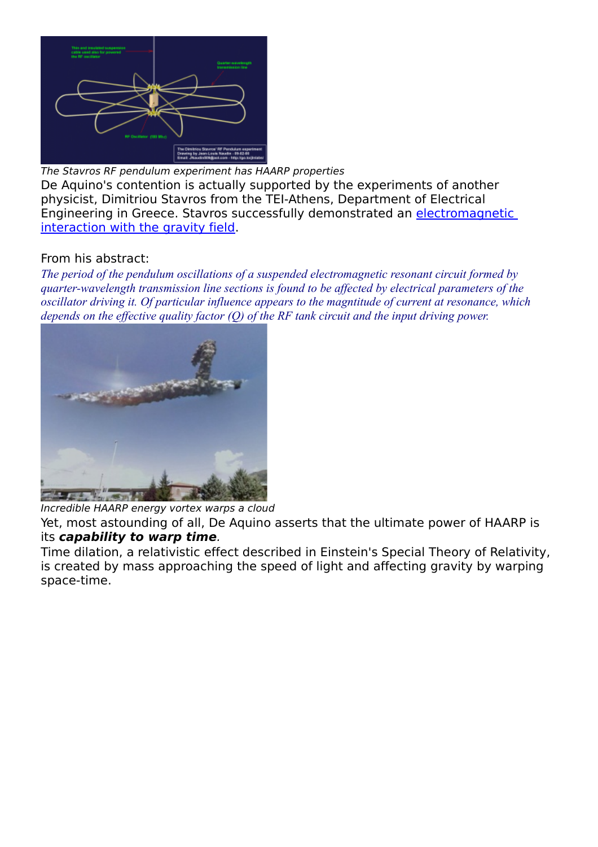

#### The Stavros RF pendulum experiment has HAARP properties

De Aquino's contention is actually supported by the experiments of another physicist, Dimitriou Stavros from the TEI-Athens, Department of Electrical Engineering in Greece. Stavros successfully demonstrated an [electromagnetic](http://jnaudin.free.fr/html/stvrfpend.htm) [interaction with the gravity field.](http://jnaudin.free.fr/html/stvrfpend.htm)

### From his abstract:

*The period of the pendulum oscillations of a suspended electromagnetic resonant circuit formed by quarter-wavelength transmission line sections is found to be affected by electrical parameters of the oscillator driving it. Of particular influence appears to the magntitude of current at resonance, which depends on the effective quality factor (Q) of the RF tank circuit and the input driving power.*



Incredible HAARP energy vortex warps a cloud

Yet, most astounding of all, De Aquino asserts that the ultimate power of HAARP is its **capability to warp time**.

Time dilation, a relativistic effect described in Einstein's Special Theory of Relativity, is created by mass approaching the speed of light and affecting gravity by warping space-time.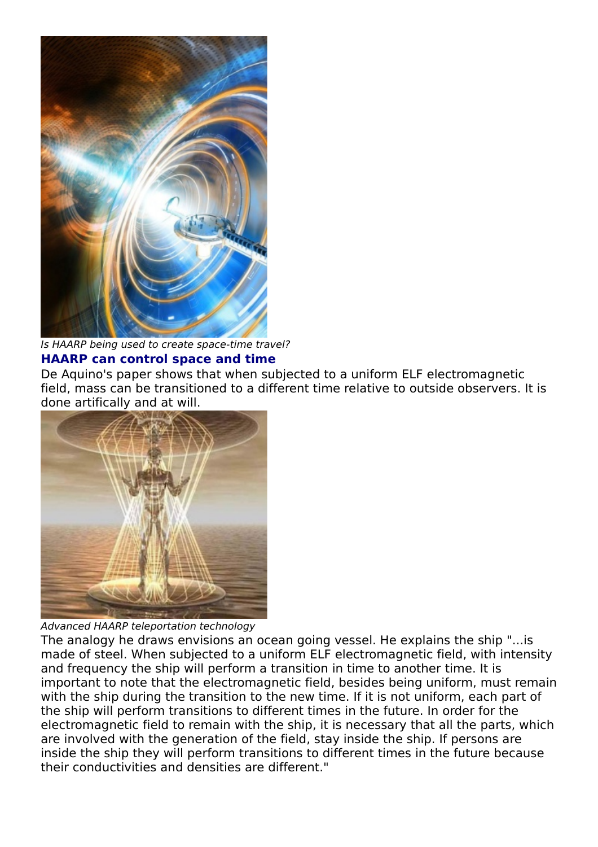

Is HAARP being used to create space-time travel? **HAARP can control space and time**

De Aquino's paper shows that when subjected to a uniform ELF electromagnetic field, mass can be transitioned to a different time relative to outside observers. It is done artifically and at will.



Advanced HAARP teleportation technology

The analogy he draws envisions an ocean going vessel. He explains the ship "...is made of steel. When subjected to a uniform ELF electromagnetic field, with intensity and frequency the ship will perform a transition in time to another time. It is important to note that the electromagnetic field, besides being uniform, must remain with the ship during the transition to the new time. If it is not uniform, each part of the ship will perform transitions to different times in the future. In order for the electromagnetic field to remain with the ship, it is necessary that all the parts, which are involved with the generation of the field, stay inside the ship. If persons are inside the ship they will perform transitions to different times in the future because their conductivities and densities are different."